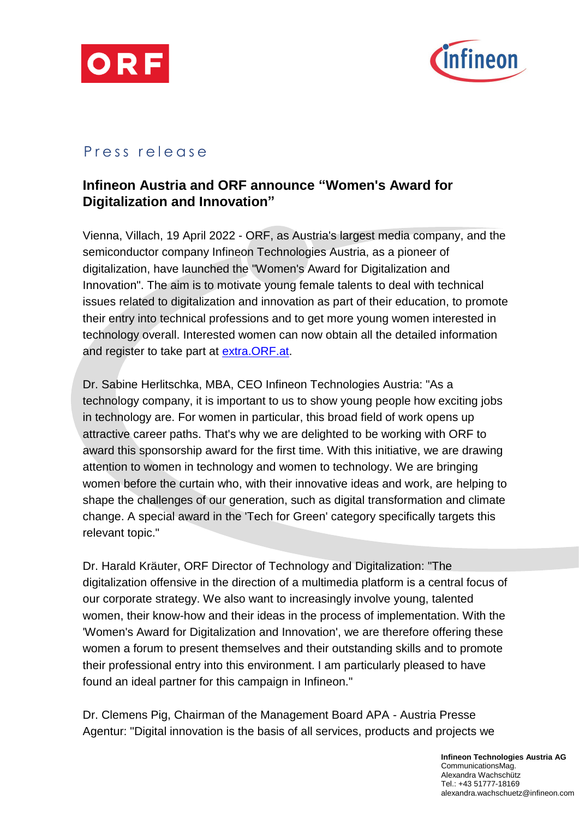



## Press release

# **Infineon Austria and ORF announce "Women's Award for Digitalization and Innovation"**

Vienna, Villach, 19 April 2022 - ORF, as Austria's largest media company, and the semiconductor company Infineon Technologies Austria, as a pioneer of digitalization, have launched the "Women's Award for Digitalization and Innovation". The aim is to motivate young female talents to deal with technical issues related to digitalization and innovation as part of their education, to promote their entry into technical professions and to get more young women interested in technology overall. Interested women can now obtain all the detailed information and register to take part at [extra.ORF.at.](https://extra.orf.at/)

Dr. Sabine Herlitschka, MBA, CEO Infineon Technologies Austria: "As a technology company, it is important to us to show young people how exciting jobs in technology are. For women in particular, this broad field of work opens up attractive career paths. That's why we are delighted to be working with ORF to award this sponsorship award for the first time. With this initiative, we are drawing attention to women in technology and women to technology. We are bringing women before the curtain who, with their innovative ideas and work, are helping to shape the challenges of our generation, such as digital transformation and climate change. A special award in the 'Tech for Green' category specifically targets this relevant topic."

Dr. Harald Kräuter, ORF Director of Technology and Digitalization: "The digitalization offensive in the direction of a multimedia platform is a central focus of our corporate strategy. We also want to increasingly involve young, talented women, their know-how and their ideas in the process of implementation. With the 'Women's Award for Digitalization and Innovation', we are therefore offering these women a forum to present themselves and their outstanding skills and to promote their professional entry into this environment. I am particularly pleased to have found an ideal partner for this campaign in Infineon."

Dr. Clemens Pig, Chairman of the Management Board APA - Austria Presse Agentur: "Digital innovation is the basis of all services, products and projects we

> **Infineon Technologies Austria AG** CommunicationsMag. Alexandra Wachschütz Tel.: +43 51777-18169 alexandra.wachschuetz@infineon.com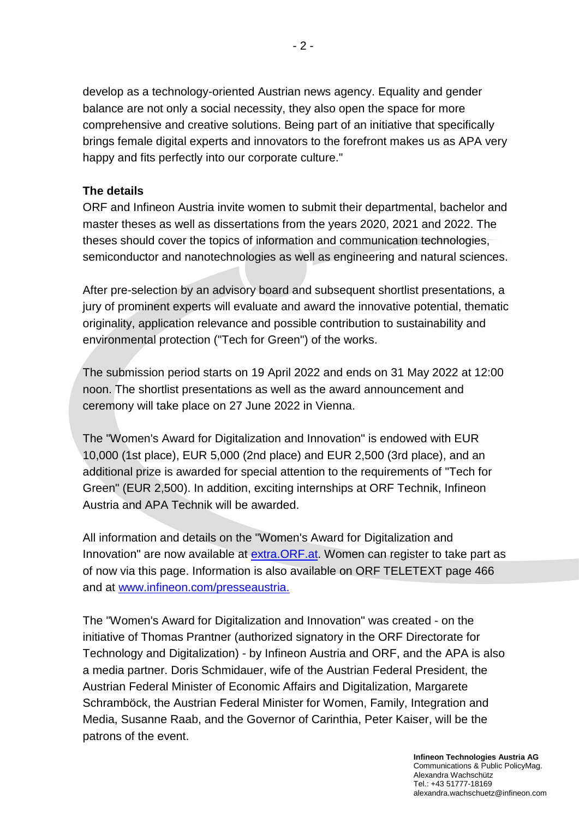develop as a technology-oriented Austrian news agency. Equality and gender balance are not only a social necessity, they also open the space for more comprehensive and creative solutions. Being part of an initiative that specifically brings female digital experts and innovators to the forefront makes us as APA very happy and fits perfectly into our corporate culture."

## **The details**

ORF and Infineon Austria invite women to submit their departmental, bachelor and master theses as well as dissertations from the years 2020, 2021 and 2022. The theses should cover the topics of information and communication technologies, semiconductor and nanotechnologies as well as engineering and natural sciences.

After pre-selection by an advisory board and subsequent shortlist presentations, a jury of prominent experts will evaluate and award the innovative potential, thematic originality, application relevance and possible contribution to sustainability and environmental protection ("Tech for Green") of the works.

The submission period starts on 19 April 2022 and ends on 31 May 2022 at 12:00 noon. The shortlist presentations as well as the award announcement and ceremony will take place on 27 June 2022 in Vienna.

The "Women's Award for Digitalization and Innovation" is endowed with EUR 10,000 (1st place), EUR 5,000 (2nd place) and EUR 2,500 (3rd place), and an additional prize is awarded for special attention to the requirements of "Tech for Green" (EUR 2,500). In addition, exciting internships at ORF Technik, Infineon Austria and APA Technik will be awarded.

All information and details on the "Women's Award for Digitalization and Innovation" are now available at extra. ORF. at. Women can register to take part as of now via this page. Information is also available on ORF TELETEXT page 466 and at [www.infineon.com/presseaustria.](http://www.infineon.com/presseaustria)

The "Women's Award for Digitalization and Innovation" was created - on the initiative of Thomas Prantner (authorized signatory in the ORF Directorate for Technology and Digitalization) - by Infineon Austria and ORF, and the APA is also a media partner. Doris Schmidauer, wife of the Austrian Federal President, the Austrian Federal Minister of Economic Affairs and Digitalization, Margarete Schramböck, the Austrian Federal Minister for Women, Family, Integration and Media, Susanne Raab, and the Governor of Carinthia, Peter Kaiser, will be the patrons of the event.

> **Infineon Technologies Austria AG** Communications & Public PolicyMag. Alexandra Wachschütz Tel.: +43 51777-18169 alexandra.wachschuetz@infineon.com